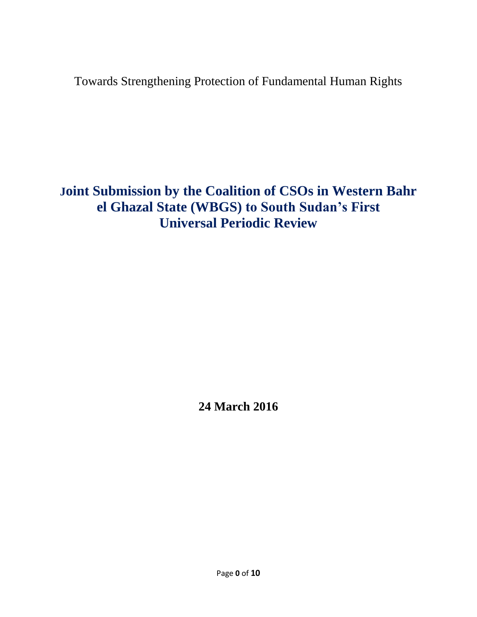Towards Strengthening Protection of Fundamental Human Rights

**Joint Submission by the Coalition of CSOs in Western Bahr el Ghazal State (WBGS) to South Sudan's First Universal Periodic Review**

**24 March 2016**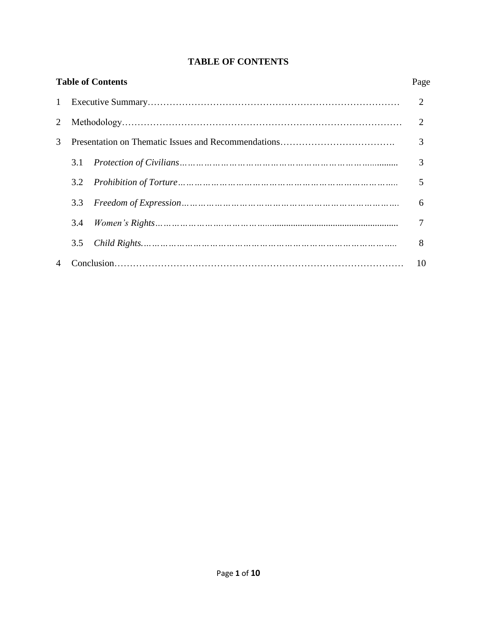# **TABLE OF CONTENTS**

| Page           |
|----------------|
| 2              |
| $\overline{2}$ |
| 3              |
| 3              |
| 5              |
| 6              |
|                |
| 8              |
| 10             |
|                |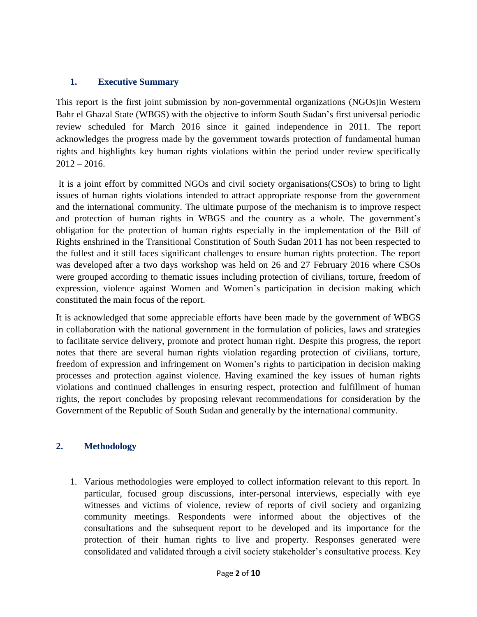#### **1. Executive Summary**

This report is the first joint submission by non-governmental organizations (NGOs)in Western Bahr el Ghazal State (WBGS) with the objective to inform South Sudan's first universal periodic review scheduled for March 2016 since it gained independence in 2011. The report acknowledges the progress made by the government towards protection of fundamental human rights and highlights key human rights violations within the period under review specifically  $2012 - 2016.$ 

It is a joint effort by committed NGOs and civil society organisations(CSOs) to bring to light issues of human rights violations intended to attract appropriate response from the government and the international community. The ultimate purpose of the mechanism is to improve respect and protection of human rights in WBGS and the country as a whole. The government's obligation for the protection of human rights especially in the implementation of the Bill of Rights enshrined in the Transitional Constitution of South Sudan 2011 has not been respected to the fullest and it still faces significant challenges to ensure human rights protection. The report was developed after a two days workshop was held on 26 and 27 February 2016 where CSOs were grouped according to thematic issues including protection of civilians, torture, freedom of expression, violence against Women and Women's participation in decision making which constituted the main focus of the report.

It is acknowledged that some appreciable efforts have been made by the government of WBGS in collaboration with the national government in the formulation of policies, laws and strategies to facilitate service delivery, promote and protect human right. Despite this progress, the report notes that there are several human rights violation regarding protection of civilians, torture, freedom of expression and infringement on Women's rights to participation in decision making processes and protection against violence. Having examined the key issues of human rights violations and continued challenges in ensuring respect, protection and fulfillment of human rights, the report concludes by proposing relevant recommendations for consideration by the Government of the Republic of South Sudan and generally by the international community.

## **2. Methodology**

1. Various methodologies were employed to collect information relevant to this report. In particular, focused group discussions, inter-personal interviews, especially with eye witnesses and victims of violence, review of reports of civil society and organizing community meetings. Respondents were informed about the objectives of the consultations and the subsequent report to be developed and its importance for the protection of their human rights to live and property. Responses generated were consolidated and validated through a civil society stakeholder's consultative process. Key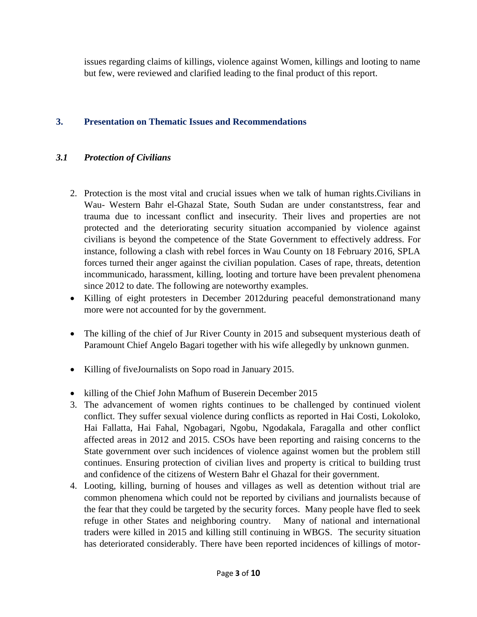issues regarding claims of killings, violence against Women, killings and looting to name but few, were reviewed and clarified leading to the final product of this report.

#### **3. Presentation on Thematic Issues and Recommendations**

#### *3.1 Protection of Civilians*

- 2. Protection is the most vital and crucial issues when we talk of human rights.Civilians in Wau- Western Bahr el-Ghazal State, South Sudan are under constantstress, fear and trauma due to incessant conflict and insecurity. Their lives and properties are not protected and the deteriorating security situation accompanied by violence against civilians is beyond the competence of the State Government to effectively address. For instance, following a clash with rebel forces in Wau County on 18 February 2016, SPLA forces turned their anger against the civilian population. Cases of rape, threats, detention incommunicado, harassment, killing, looting and torture have been prevalent phenomena since 2012 to date. The following are noteworthy examples.
- Killing of eight protesters in December 2012during peaceful demonstrationand many more were not accounted for by the government.
- The killing of the chief of Jur River County in 2015 and subsequent mysterious death of Paramount Chief Angelo Bagari together with his wife allegedly by unknown gunmen.
- Killing of fiveJournalists on Sopo road in January 2015.
- killing of the Chief John Mafhum of Buserein December 2015
- 3. The advancement of women rights continues to be challenged by continued violent conflict. They suffer sexual violence during conflicts as reported in Hai Costi, Lokoloko, Hai Fallatta, Hai Fahal, Ngobagari, Ngobu, Ngodakala, Faragalla and other conflict affected areas in 2012 and 2015. CSOs have been reporting and raising concerns to the State government over such incidences of violence against women but the problem still continues. Ensuring protection of civilian lives and property is critical to building trust and confidence of the citizens of Western Bahr el Ghazal for their government.
- 4. Looting, killing, burning of houses and villages as well as detention without trial are common phenomena which could not be reported by civilians and journalists because of the fear that they could be targeted by the security forces. Many people have fled to seek refuge in other States and neighboring country. Many of national and international traders were killed in 2015 and killing still continuing in WBGS. The security situation has deteriorated considerably. There have been reported incidences of killings of motor-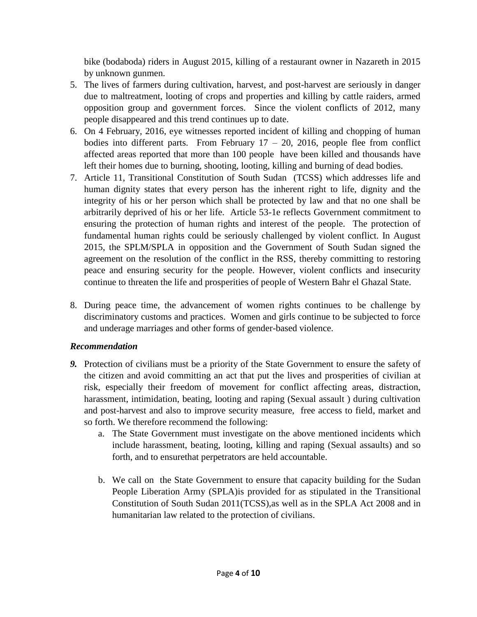bike (bodaboda) riders in August 2015, killing of a restaurant owner in Nazareth in 2015 by unknown gunmen.

- 5. The lives of farmers during cultivation, harvest, and post-harvest are seriously in danger due to maltreatment, looting of crops and properties and killing by cattle raiders, armed opposition group and government forces. Since the violent conflicts of 2012, many people disappeared and this trend continues up to date.
- 6. On 4 February, 2016, eye witnesses reported incident of killing and chopping of human bodies into different parts. From February  $17 - 20$ ,  $2016$ , people flee from conflict affected areas reported that more than 100 people have been killed and thousands have left their homes due to burning, shooting, looting, killing and burning of dead bodies.
- 7. Article 11, Transitional Constitution of South Sudan (TCSS) which addresses life and human dignity states that every person has the inherent right to life, dignity and the integrity of his or her person which shall be protected by law and that no one shall be arbitrarily deprived of his or her life. Article 53-1e reflects Government commitment to ensuring the protection of human rights and interest of the people. The protection of fundamental human rights could be seriously challenged by violent conflict. In August 2015, the SPLM/SPLA in opposition and the Government of South Sudan signed the agreement on the resolution of the conflict in the RSS, thereby committing to restoring peace and ensuring security for the people. However, violent conflicts and insecurity continue to threaten the life and prosperities of people of Western Bahr el Ghazal State.
- 8. During peace time, the advancement of women rights continues to be challenge by discriminatory customs and practices. Women and girls continue to be subjected to force and underage marriages and other forms of gender-based violence.

## *Recommendation*

- *9.* Protection of civilians must be a priority of the State Government to ensure the safety of the citizen and avoid committing an act that put the lives and prosperities of civilian at risk, especially their freedom of movement for conflict affecting areas, distraction, harassment, intimidation, beating, looting and raping (Sexual assault ) during cultivation and post-harvest and also to improve security measure, free access to field, market and so forth. We therefore recommend the following:
	- a. The State Government must investigate on the above mentioned incidents which include harassment, beating, looting, killing and raping (Sexual assaults) and so forth, and to ensurethat perpetrators are held accountable.
	- b. We call on the State Government to ensure that capacity building for the Sudan People Liberation Army (SPLA)is provided for as stipulated in the Transitional Constitution of South Sudan 2011(TCSS),as well as in the SPLA Act 2008 and in humanitarian law related to the protection of civilians.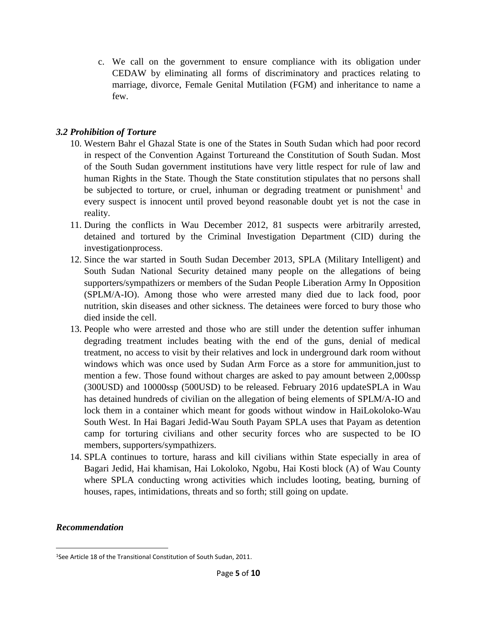c. We call on the government to ensure compliance with its obligation under CEDAW by eliminating all forms of discriminatory and practices relating to marriage, divorce, Female Genital Mutilation (FGM) and inheritance to name a few.

#### *3.2 Prohibition of Torture*

- 10. Western Bahr el Ghazal State is one of the States in South Sudan which had poor record in respect of the Convention Against Tortureand the Constitution of South Sudan. Most of the South Sudan government institutions have very little respect for rule of law and human Rights in the State. Though the State constitution stipulates that no persons shall be subjected to torture, or cruel, inhuman or degrading treatment or punishment<sup>1</sup> and every suspect is innocent until proved beyond reasonable doubt yet is not the case in reality.
- 11. During the conflicts in Wau December 2012, 81 suspects were arbitrarily arrested, detained and tortured by the Criminal Investigation Department (CID) during the investigationprocess.
- 12. Since the war started in South Sudan December 2013, SPLA (Military Intelligent) and South Sudan National Security detained many people on the allegations of being supporters/sympathizers or members of the Sudan People Liberation Army In Opposition (SPLM/A-IO). Among those who were arrested many died due to lack food, poor nutrition, skin diseases and other sickness. The detainees were forced to bury those who died inside the cell.
- 13. People who were arrested and those who are still under the detention suffer inhuman degrading treatment includes beating with the end of the guns, denial of medical treatment, no access to visit by their relatives and lock in underground dark room without windows which was once used by Sudan Arm Force as a store for ammunition,just to mention a few. Those found without charges are asked to pay amount between 2,000ssp (300USD) and 10000ssp (500USD) to be released. February 2016 updateSPLA in Wau has detained hundreds of civilian on the allegation of being elements of SPLM/A-IO and lock them in a container which meant for goods without window in HaiLokoloko-Wau South West. In Hai Bagari Jedid-Wau South Payam SPLA uses that Payam as detention camp for torturing civilians and other security forces who are suspected to be IO members, supporters/sympathizers.
- 14. SPLA continues to torture, harass and kill civilians within State especially in area of Bagari Jedid, Hai khamisan, Hai Lokoloko, Ngobu, Hai Kosti block (A) of Wau County where SPLA conducting wrong activities which includes looting, beating, burning of houses, rapes, intimidations, threats and so forth; still going on update.

#### *Recommendation*

 $\overline{a}$ 1See Article 18 of the Transitional Constitution of South Sudan, 2011.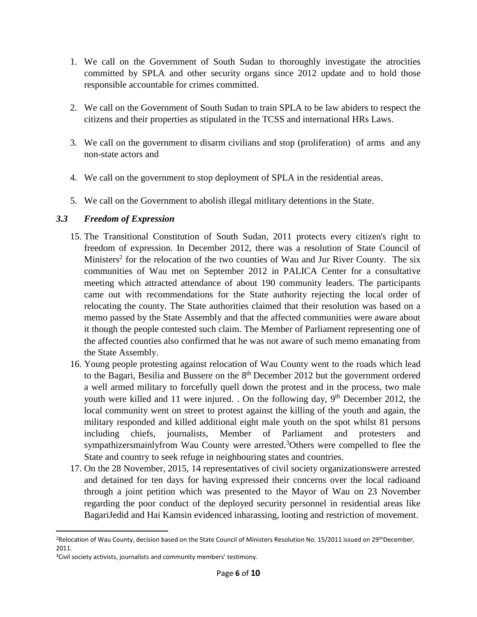- 1. We call on the Government of South Sudan to thoroughly investigate the atrocities committed by SPLA and other security organs since 2012 update and to hold those responsible accountable for crimes committed.
- 2. We call on the Government of South Sudan to train SPLA to be law abiders to respect the citizens and their properties as stipulated in the TCSS and international HRs Laws.
- 3. We call on the government to disarm civilians and stop (proliferation) of arms and any non-state actors and
- 4. We call on the government to stop deployment of SPLA in the residential areas.
- 5. We call on the Government to abolish illegal mitlitary detentions in the State.

## *3.3 Freedom of Expression*

- 15. The Transitional Constitution of South Sudan, 2011 protects every citizen's right to freedom of expression. In December 2012, there was a resolution of State Council of Ministers<sup>2</sup> for the relocation of the two counties of Wau and Jur River County. The six communities of Wau met on September 2012 in PALICA Center for a consultative meeting which attracted attendance of about 190 community leaders. The participants came out with recommendations for the State authority rejecting the local order of relocating the county. The State authorities claimed that their resolution was based on a memo passed by the State Assembly and that the affected communities were aware about it though the people contested such claim. The Member of Parliament representing one of the affected counties also confirmed that he was not aware of such memo emanating from the State Assembly.
- 16. Young people protesting against relocation of Wau County went to the roads which lead to the Bagari, Besilia and Bussere on the  $8<sup>th</sup>$  December 2012 but the government ordered a well armed military to forcefully quell down the protest and in the process, two male youth were killed and 11 were injured. . On the following day, 9<sup>th</sup> December 2012, the local community went on street to protest against the killing of the youth and again, the military responded and killed additional eight male youth on the spot whilst 81 persons including chiefs, journalists, Member of Parliament and protesters and sympathizersmainlyfrom Wau County were arrested.<sup>3</sup>Others were compelled to flee the State and country to seek refuge in neighbouring states and countries.
- 17. On the 28 November, 2015, 14 representatives of civil society organizationswere arrested and detained for ten days for having expressed their concerns over the local radioand through a joint petition which was presented to the Mayor of Wau on 23 November regarding the poor conduct of the deployed security personnel in residential areas like BagariJedid and Hai Kamsin evidenced inharassing, looting and restriction of movement.

l

<sup>&</sup>lt;sup>2</sup>Relocation of Wau County, decision based on the State Council of Ministers Resolution No. 15/2011 issued on 29<sup>th</sup>December, 2011.

<sup>&</sup>lt;sup>3</sup>Civil society activists, journalists and community members' testimony.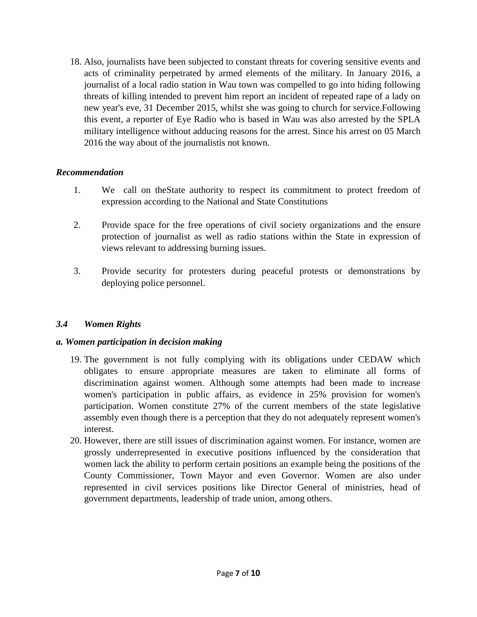18. Also, journalists have been subjected to constant threats for covering sensitive events and acts of criminality perpetrated by armed elements of the military. In January 2016, a journalist of a local radio station in Wau town was compelled to go into hiding following threats of killing intended to prevent him report an incident of repeated rape of a lady on new year's eve, 31 December 2015, whilst she was going to church for service.Following this event, a reporter of Eye Radio who is based in Wau was also arrested by the SPLA military intelligence without adducing reasons for the arrest. Since his arrest on 05 March 2016 the way about of the journalistis not known.

#### *Recommendation*

- 1. We call on theState authority to respect its commitment to protect freedom of expression according to the National and State Constitutions
- 2. Provide space for the free operations of civil society organizations and the ensure protection of journalist as well as radio stations within the State in expression of views relevant to addressing burning issues.
- 3. Provide security for protesters during peaceful protests or demonstrations by deploying police personnel.

## *3.4 Women Rights*

## *a. Women participation in decision making*

- 19. The government is not fully complying with its obligations under CEDAW which obligates to ensure appropriate measures are taken to eliminate all forms of discrimination against women. Although some attempts had been made to increase women's participation in public affairs, as evidence in 25% provision for women's participation. Women constitute 27% of the current members of the state legislative assembly even though there is a perception that they do not adequately represent women's interest.
- 20. However, there are still issues of discrimination against women. For instance, women are grossly underrepresented in executive positions influenced by the consideration that women lack the ability to perform certain positions an example being the positions of the County Commissioner, Town Mayor and even Governor. Women are also under represented in civil services positions like Director General of ministries, head of government departments, leadership of trade union, among others.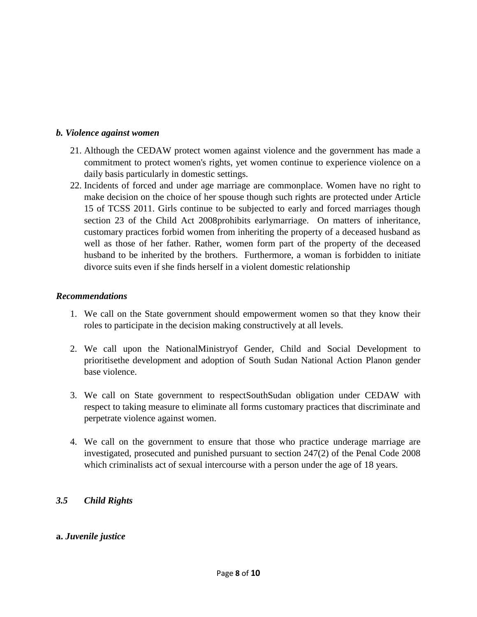#### *b. Violence against women*

- 21. Although the CEDAW protect women against violence and the government has made a commitment to protect women's rights, yet women continue to experience violence on a daily basis particularly in domestic settings.
- 22. Incidents of forced and under age marriage are commonplace. Women have no right to make decision on the choice of her spouse though such rights are protected under Article 15 of TCSS 2011. Girls continue to be subjected to early and forced marriages though section 23 of the Child Act 2008prohibits earlymarriage. On matters of inheritance, customary practices forbid women from inheriting the property of a deceased husband as well as those of her father. Rather, women form part of the property of the deceased husband to be inherited by the brothers. Furthermore, a woman is forbidden to initiate divorce suits even if she finds herself in a violent domestic relationship

#### *Recommendations*

- 1. We call on the State government should empowerment women so that they know their roles to participate in the decision making constructively at all levels.
- 2. We call upon the NationalMinistryof Gender, Child and Social Development to prioritisethe development and adoption of South Sudan National Action Planon gender base violence.
- 3. We call on State government to respectSouthSudan obligation under CEDAW with respect to taking measure to eliminate all forms customary practices that discriminate and perpetrate violence against women.
- 4. We call on the government to ensure that those who practice underage marriage are investigated, prosecuted and punished pursuant to section 247(2) of the Penal Code 2008 which criminalists act of sexual intercourse with a person under the age of 18 years.

## *3.5 Child Rights*

#### **a.** *Juvenile justice*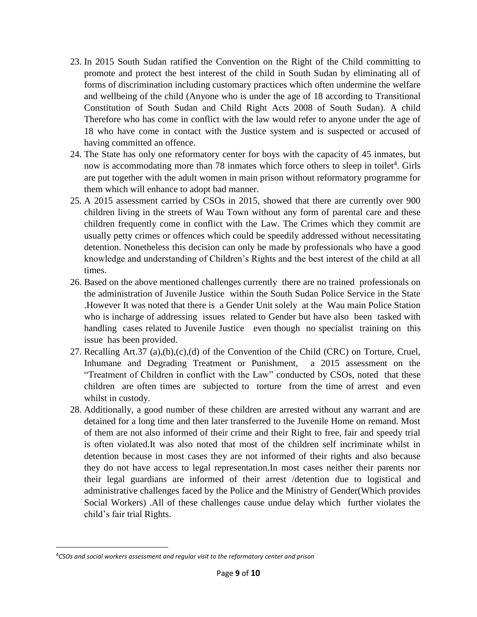- 23. In 2015 South Sudan ratified the Convention on the Right of the Child committing to promote and protect the best interest of the child in South Sudan by eliminating all of forms of discrimination including customary practices which often undermine the welfare and wellbeing of the child (Anyone who is under the age of 18 according to Transitional Constitution of South Sudan and Child Right Acts 2008 of South Sudan). A child Therefore who has come in conflict with the law would refer to anyone under the age of 18 who have come in contact with the Justice system and is suspected or accused of having committed an offence.
- 24. The State has only one reformatory center for boys with the capacity of 45 inmates, but now is accommodating more than 78 inmates which force others to sleep in toilet<sup>4</sup>. Girls are put together with the adult women in main prison without reformatory programme for them which will enhance to adopt bad manner.
- 25. A 2015 assessment carried by CSOs in 2015, showed that there are currently over 900 children living in the streets of Wau Town without any form of parental care and these children frequently come in conflict with the Law. The Crimes which they commit are usually petty crimes or offences which could be speedily addressed without necessitating detention. Nonetheless this decision can only be made by professionals who have a good knowledge and understanding of Children's Rights and the best interest of the child at all times.
- 26. Based on the above mentioned challenges currently there are no trained professionals on the administration of Juvenile Justice within the South Sudan Police Service in the State .However It was noted that there is a Gender Unit solely at the Wau main Police Station who is incharge of addressing issues related to Gender but have also been tasked with handling cases related to Juvenile Justice even though no specialist training on this issue has been provided.
- 27. Recalling Art.37 (a),(b),(c),(d) of the Convention of the Child (CRC) on Torture, Cruel, Inhumane and Degrading Treatment or Punishment, a 2015 assessment on the "Treatment of Children in conflict with the Law" conducted by CSOs, noted that these children are often times are subjected to torture from the time of arrest and even whilst in custody.
- 28. Additionally, a good number of these children are arrested without any warrant and are detained for a long time and then later transferred to the Juvenile Home on remand. Most of them are not also informed of their crime and their Right to free, fair and speedy trial is often violated.It was also noted that most of the children self incriminate whilst in detention because in most cases they are not informed of their rights and also because they do not have access to legal representation.In most cases neither their parents nor their legal guardians are informed of their arrest /detention due to logistical and administrative challenges faced by the Police and the Ministry of Gender(Which provides Social Workers) .All of these challenges cause undue delay which further violates the child's fair trial Rights.

 $\overline{\phantom{a}}$ 

<sup>4</sup>*CSOs and social workers assessment and regular visit to the reformatory center and prison*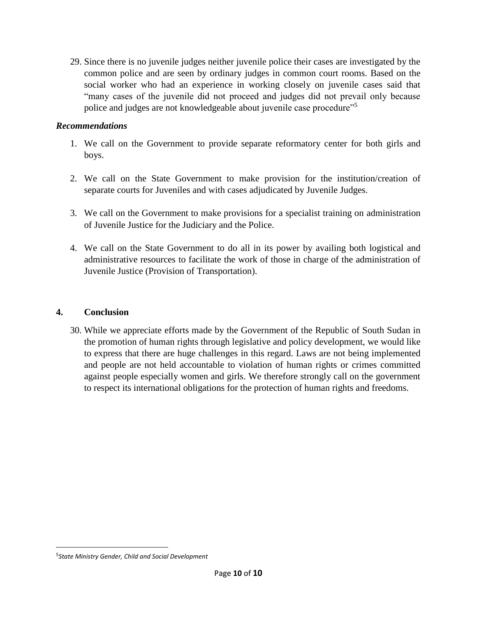29. Since there is no juvenile judges neither juvenile police their cases are investigated by the common police and are seen by ordinary judges in common court rooms. Based on the social worker who had an experience in working closely on juvenile cases said that "many cases of the juvenile did not proceed and judges did not prevail only because police and judges are not knowledgeable about juvenile case procedure"<sup>5</sup>

#### *Recommendations*

- 1. We call on the Government to provide separate reformatory center for both girls and boys.
- 2. We call on the State Government to make provision for the institution/creation of separate courts for Juveniles and with cases adjudicated by Juvenile Judges.
- 3. We call on the Government to make provisions for a specialist training on administration of Juvenile Justice for the Judiciary and the Police.
- 4. We call on the State Government to do all in its power by availing both logistical and administrative resources to facilitate the work of those in charge of the administration of Juvenile Justice (Provision of Transportation).

#### **4. Conclusion**

30. While we appreciate efforts made by the Government of the Republic of South Sudan in the promotion of human rights through legislative and policy development, we would like to express that there are huge challenges in this regard. Laws are not being implemented and people are not held accountable to violation of human rights or crimes committed against people especially women and girls. We therefore strongly call on the government to respect its international obligations for the protection of human rights and freedoms.

 $\overline{\phantom{a}}$ 

<sup>5</sup> *State Ministry Gender, Child and Social Development*